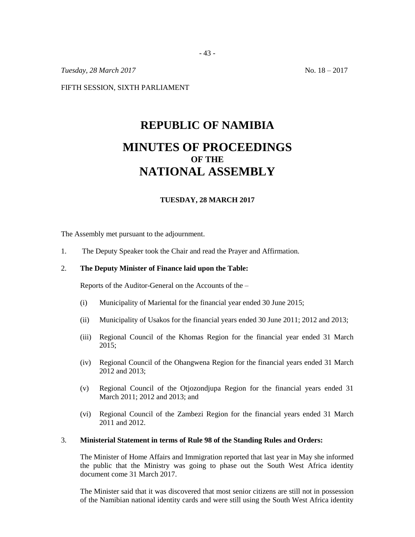*Tuesday,* 28 *March* 2017 No. 18 – 2017

FIFTH SESSION, SIXTH PARLIAMENT

# **REPUBLIC OF NAMIBIA MINUTES OF PROCEEDINGS OF THE NATIONAL ASSEMBLY**

#### **TUESDAY, 28 MARCH 2017**

The Assembly met pursuant to the adjournment.

1. The Deputy Speaker took the Chair and read the Prayer and Affirmation.

## 2. **The Deputy Minister of Finance laid upon the Table:**

Reports of the Auditor-General on the Accounts of the –

- (i) Municipality of Mariental for the financial year ended 30 June 2015;
- (ii) Municipality of Usakos for the financial years ended 30 June 2011; 2012 and 2013;
- (iii) Regional Council of the Khomas Region for the financial year ended 31 March 2015;
- (iv) Regional Council of the Ohangwena Region for the financial years ended 31 March 2012 and 2013;
- (v) Regional Council of the Otjozondjupa Region for the financial years ended 31 March 2011; 2012 and 2013; and
- (vi) Regional Council of the Zambezi Region for the financial years ended 31 March 2011 and 2012.

#### 3. **Ministerial Statement in terms of Rule 98 of the Standing Rules and Orders:**

The Minister of Home Affairs and Immigration reported that last year in May she informed the public that the Ministry was going to phase out the South West Africa identity document come 31 March 2017.

The Minister said that it was discovered that most senior citizens are still not in possession of the Namibian national identity cards and were still using the South West Africa identity